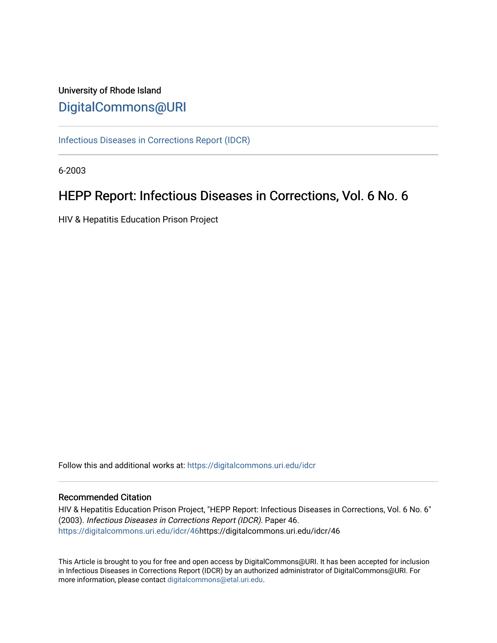# University of Rhode Island [DigitalCommons@URI](https://digitalcommons.uri.edu/)

[Infectious Diseases in Corrections Report \(IDCR\)](https://digitalcommons.uri.edu/idcr)

6-2003

# HEPP Report: Infectious Diseases in Corrections, Vol. 6 No. 6

HIV & Hepatitis Education Prison Project

Follow this and additional works at: [https://digitalcommons.uri.edu/idcr](https://digitalcommons.uri.edu/idcr?utm_source=digitalcommons.uri.edu%2Fidcr%2F46&utm_medium=PDF&utm_campaign=PDFCoverPages)

# Recommended Citation

HIV & Hepatitis Education Prison Project, "HEPP Report: Infectious Diseases in Corrections, Vol. 6 No. 6" (2003). Infectious Diseases in Corrections Report (IDCR). Paper 46. [https://digitalcommons.uri.edu/idcr/46h](https://digitalcommons.uri.edu/idcr/46?utm_source=digitalcommons.uri.edu%2Fidcr%2F46&utm_medium=PDF&utm_campaign=PDFCoverPages)ttps://digitalcommons.uri.edu/idcr/46

This Article is brought to you for free and open access by DigitalCommons@URI. It has been accepted for inclusion in Infectious Diseases in Corrections Report (IDCR) by an authorized administrator of DigitalCommons@URI. For more information, please contact [digitalcommons@etal.uri.edu.](mailto:digitalcommons@etal.uri.edu)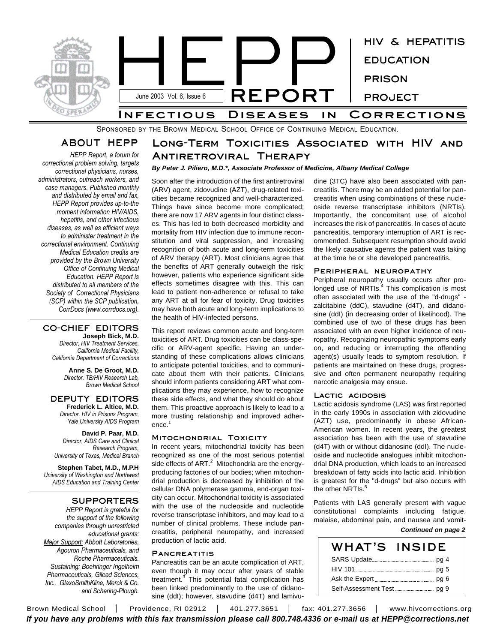

SPONSORED BY THE BROWN MEDICAL SCHOOL OFFICE OF CONTINUING MEDICAL EDUCATION.

# **ABOUT HEPP**

*HEPP Report, a forum for correctional problem solving, targets correctional physicians, nurses, administrators, outreach workers, and case managers. Published monthly and distributed by email and fax, HEPP Report provides up-to-the moment information HIV/AIDS, hepatitis, and other infectious diseases, as well as efficient ways to administer treatment in the correctional environment. Continuing Medical Education credits are provided by the Brown University Office of Continuing Medical Education. HEPP Report is distributed to all members of the Society of Correctional Physicians (SCP) within the SCP publication, CorrDocs (www.corrdocs.org).*

## **CO-CHIEF EDITORS Joseph Bick, M.D.**

*Director, HIV Treatment Services, California Medical Facility, California Department of Corrections*

> **Anne S. De Groot, M.D.** *Director, TB/HIV Research Lab, Brown Medical School*

# **DEPUTY EDITORS Frederick L. Altice, M.D.**

*Director, HIV in Prisons Program, Yale University AIDS Program*

**David P. Paar, M.D.** *Director, AIDS Care and Clinical Research Program, University of Texas, Medical Branch*

**Stephen Tabet, M.D., M.P.H** *University of Washington and Northwest AIDS Education and Training Center*

# **SUPPORTERS**

*HEPP Report is grateful for the support of the following companies through unrestricted educational grants: Major Support: Abbott Laboratories, Agouron Pharmaceuticals, and Roche Pharmaceuticals. Sustaining: Boehringer Ingelheim Pharmaceuticals, Gilead Sciences, Inc., GlaxoSmithKline, Merck & Co. and Schering-Plough.*

# **Long-Term Toxicities Associated with HIV and Antiretroviral Therapy**

# *By Peter J. Piliero, M.D.\*, Associate Professor of Medicine, Albany Medical College*

Soon after the introduction of the first antiretroviral (ARV) agent, zidovudine (AZT), drug-related toxicities became recognized and well-characterized. Things have since become more complicated; there are now 17 ARV agents in four distinct classes. This has led to both decreased morbidity and mortality from HIV infection due to immune reconstitution and viral suppression, and increasing recognition of both acute and long-term toxicities of ARV therapy (ART). Most clinicians agree that the benefits of ART generally outweigh the risk; however, patients who experience significant side effects sometimes disagree with this. This can lead to patient non-adherence or refusal to take any ART at all for fear of toxicity. Drug toxicities may have both acute and long-term implications to the health of HIV-infected persons.

This report reviews common acute and long-term toxicities of ART. Drug toxicities can be class-specific or ARV-agent specific. Having an understanding of these complications allows clinicians to anticipate potential toxicities, and to communicate about them with their patients. Clinicians should inform patients considering ART what complications they may experience, how to recognize these side effects, and what they should do about them. This proactive approach is likely to lead to a more trusting relationship and improved adherence. 1

# **Mitochondrial Toxicity**

In recent years, mitochondrial toxicity has been recognized as one of the most serious potential side effects of ART. $^2$  Mitochondria are the energyproducing factories of our bodies; when mitochondrial production is decreased by inhibition of the cellular DNA polymerase gamma, end-organ toxicity can occur. Mitochondrial toxicity is associated with the use of the nucleoside and nucleotide reverse transcriptase inhibitors, and may lead to a number of clinical problems. These include pancreatitis, peripheral neuropathy, and increased production of lactic acid.

# **Pancreatitis**

Pancreatitis can be an acute complication of ART, even though it may occur after years of stable treatment.<sup>3</sup> This potential fatal complication has been linked predominantly to the use of didanosine (ddI); however, stavudine (d4T) and lamivudine (3TC) have also been associated with pancreatitis. There may be an added potential for pancreatitis when using combinations of these nucleoside reverse transcriptase inhibitors (NRTIs). Importantly, the concomitant use of alcohol increases the risk of pancreatitis. In cases of acute pancreatitis, temporary interruption of ART is recommended. Subsequent resumption should avoid the likely causative agents the patient was taking at the time he or she developed pancreatitis.

#### **Peripheral neuropathy**

Peripheral neuropathy usually occurs after prolonged use of NRTIs.<sup>4</sup> This complication is most often associated with the use of the "d-drugs" zalcitabine (ddC), stavudine (d4T), and didanosine (ddI) (in decreasing order of likelihood). The combined use of two of these drugs has been associated with an even higher incidence of neuropathy. Recognizing neuropathic symptoms early on, and reducing or interrupting the offending agent(s) usually leads to symptom resolution. If patients are maintained on these drugs, progressive and often permanent neuropathy requiring narcotic analgesia may ensue.

# **Lactic acidosis**

Lactic acidosis syndrome (LAS) was first reported in the early 1990s in association with zidovudine (AZT) use, predominantly in obese African-American women. In recent years, the greatest association has been with the use of stavudine (d4T) with or without didanosine (ddI). The nucleoside and nucleotide analogues inhibit mitochondrial DNA production, which leads to an increased breakdown of fatty acids into lactic acid. Inhibition is greatest for the "d-drugs" but also occurs with the other NRTIs.<sup>5</sup>

Patients with LAS generally present with vague constitutional complaints including fatigue, malaise, abdominal pain, and nausea and vomit-

#### *Continued on page 2*

| WHAT'S | <b>INSIDE</b> |
|--------|---------------|
|        |               |
|        |               |
|        |               |
|        |               |

Brown Medical School | Providence, RI 02912 | 401.277.3651 | fax: 401.277.3656 | www.hivcorrections.org *If you have any problems with this fax transmission please call 800.748.4336 or e-mail us at HEPP@corrections.net*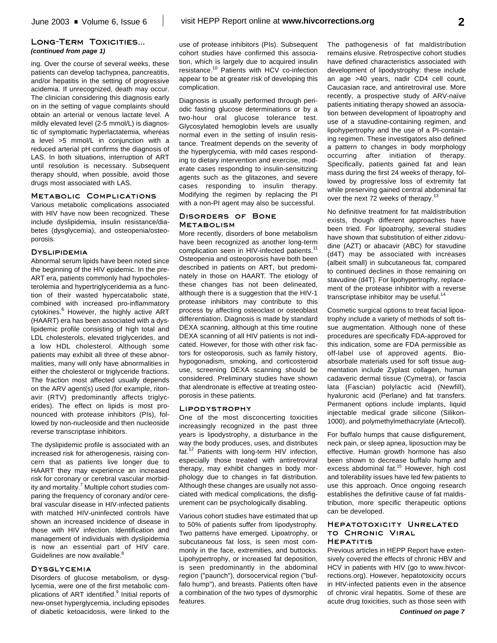# **Long-Term Toxicities...** *(continued from page 1)*

ing. Over the course of several weeks, these patients can develop tachypnea, pancreatitis, and/or hepatitis in the setting of progressive acidemia. If unrecognized, death may occur. The clinician considering this diagnosis early on in the setting of vague complaints should obtain an arterial or venous lactate level. A mildly elevated level (2-5 mmol/L) is diagnostic of symptomatic hyperlactatemia, whereas a level >5 mmol/L in conjunction with a reduced arterial pH confirms the diagnosis of LAS. In both situations, interruption of ART until resolution is necessary. Subsequent therapy should, when possible, avoid those drugs most associated with LAS.

# **Metabolic Complications**

Various metabolic complications associated with HIV have now been recognized. These include dyslipidemia, insulin resistance/diabetes (dysglycemia), and osteopenia/osteoporosis.

## **Dyslipidemia**

Abnormal serum lipids have been noted since the beginning of the HIV epidemic. In the pre-ART era, patients commonly had hypocholesterolemia and hypertriglyceridemia as a function of their wasted hypercatabolic state, combined with increased pro-inflammatory cytokines.<sup>6</sup> However, the highly active ART (HAART) era has been associated with a dyslipidemic profile consisting of high total and LDL cholesterols, elevated triglycerides, and a low HDL cholesterol. Although some patients may exhibit all three of these abnormalities, many will only have abnormalities in either the cholesterol or triglyceride fractions. The fraction most affected usually depends on the ARV agent(s) used (for example, ritonavir (RTV) predominantly affects triglycerides). The effect on lipids is most pronounced with protease inhibitors (PIs), followed by non-nucleoside and then nucleoside reverse transcriptase inhibitors.

The dyslipidemic profile is associated with an increased risk for atherogenesis, raising concern that as patients live longer due to HAART they may experience an increased risk for coronary or cerebral vascular morbidity and mortality.<sup>7</sup> Multiple cohort studies comparing the frequency of coronary and/or cerebral vascular disease in HIV-infected patients with matched HIV-uninfected controls have shown an increased incidence of disease in those with HIV infection. Identification and management of individuals with dyslipidemia is now an essential part of HIV care. Guidelines are now available.<sup>8</sup>

#### **Dysglycemia**

Disorders of glucose metabolism, or dysglycemia, were one of the first metabolic complications of ART identified.<sup>9</sup> Initial reports of new-onset hyperglycemia, including episodes of diabetic ketoacidosis, were linked to the use of protease inhibitors (PIs). Subsequent cohort studies have confirmed this association, which is largely due to acquired insulin resistance. <sup>10</sup> Patients with HCV co-infection appear to be at greater risk of developing this complication.

Diagnosis is usually performed through periodic fasting glucose determinations or by a two-hour oral glucose tolerance test. Glycosylated hemoglobin levels are usually normal even in the setting of insulin resistance. Treatment depends on the severity of the hyperglycemia, with mild cases responding to dietary intervention and exercise, moderate cases responding to insulin-sensitizing agents such as the glitazones, and severe cases responding to insulin therapy. Modifying the regimen by replacing the PI with a non-PI agent may also be successful.

# **Disorders of Bone Metabolism**

More recently, disorders of bone metabolism have been recognized as another long-term complication seen in HIV-infected patients.<sup>11</sup> Osteopenia and osteoporosis have both been described in patients on ART, but predominately in those on HAART. The etiology of these changes has not been delineated, although there is a suggestion that the HIV-1 protease inhibitors may contribute to this process by affecting osteoclast or osteoblast differentiation. Diagnosis is made by standard DEXA scanning, although at this time routine DEXA scanning of all HIV patients is not indicated. However, for those with other risk factors for osteoporosis, such as family history, hypogonadism, smoking, and corticosteroid use, screening DEXA scanning should be considered. Preliminary studies have shown that alendronate is effective at treating osteoporosis in these patients.

## **Lipodystrophy**

One of the most disconcerting toxicities increasingly recognized in the past three years is lipodystrophy, a disturbance in the way the body produces, uses, and distributes fat.<sup>12</sup> Patients with long-term HIV infection, especially those treated with antiretroviral therapy, may exhibit changes in body morphology due to changes in fat distribution. Although these changes are usually not associated with medical complications, the disfigurement can be psychologically disabling.

Various cohort studies have estimated that up to 50% of patients suffer from lipodystrophy. Two patterns have emerged. Lipoatrophy, or subcutaneous fat loss, is seen most commonly in the face, extremities, and buttocks. Lipohypertrophy, or increased fat deposition, is seen predominantly in the abdominal region ("paunch"), dorsocervical region ("buffalo hump"), and breasts. Patients often have a combination of the two types of dysmorphic features.

The pathogenesis of fat maldistribution remains elusive. Retrospective cohort studies have defined characteristics associated with development of lipodystrophy: these include an age >40 years, nadir CD4 cell count, Caucasian race, and antiretroviral use. More recently, a prospective study of ARV-naïve patients initiating therapy showed an association between development of lipoatrophy and use of a stavudine-containing regimen, and lipohypertrophy and the use of a PI-containing regimen. These investigators also defined a pattern to changes in body morphology occurring after initiation of therapy. Specifically, patients gained fat and lean mass during the first 24 weeks of therapy, followed by progressive loss of extremity fat while preserving gained central abdominal fat over the next 72 weeks of therapy.<sup>13</sup>

No definitive treatment for fat maldistribution exists, though different approaches have been tried. For lipoatrophy, several studies have shown that substitution of either zidovudine (AZT) or abacavir (ABC) for stavudine (d4T) may be associated with increases (albeit small) in subcutaneous fat, compared to continued declines in those remaining on stavudine (d4T). For lipohypertrophy, replacement of the protease inhibitor with a reverse transcriptase inhibitor may be useful.<sup>14</sup>

Cosmetic surgical options to treat facial lipoatrophy include a variety of methods of soft tissue augmentation. Although none of these procedures are specifically FDA-approved for this indication, some are FDA permissible as off-label use of approved agents. Bioabsorbale materials used for soft tissue augmentation include Zyplast collagen, human cadaveric dermal tissue (Cymetra), or fascia lata (Fascian) polylactic acid (Newfill), hyaluronic acid (Perlane) and fat transfers. Permanent options include implants, liquid injectable medical grade silicone (Silikon-1000), and polymethylmethacrylate (Artecoll).

For buffalo humps that cause disfigurement, neck pain, or sleep apnea, liposuction may be effective. Human growth hormone has also been shown to decrease buffalo hump and excess abdominal fat.<sup>15</sup> However, high cost and tolerability issues have led few patients to use this approach. Once ongoing research establishes the definitive cause of fat maldistribution, more specific therapeutic options can be developed.

## **Hepatotoxicity Unrelated to Chronic Viral Hepatitis**

Previous articles in HEPP Report have extensively covered the effects of chronic HBV and HCV in patients with HIV (go to www.hivcorrections.org). However, hepatotoxicity occurs in HIV-infected patients even in the absence of chronic viral hepatitis. Some of these are acute drug toxicities, such as those seen with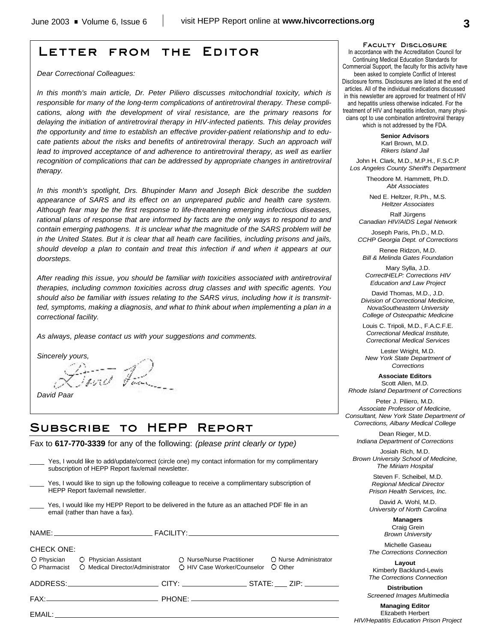# **Letter from the Editor**

*Dear Correctional Colleagues:*

*In this month's main article, Dr. Peter Piliero discusses mitochondrial toxicity, which is responsible for many of the long-term complications of antiretroviral therapy. These complications, along with the development of viral resistance, are the primary reasons for delaying the initiation of antiretroviral therapy in HIV-infected patients. This delay provides the opportunity and time to establish an effective provider-patient relationship and to educate patients about the risks and benefits of antiretroviral therapy. Such an approach will lead to improved acceptance of and adherence to antiretroviral therapy, as well as earlier recognition of complications that can be addressed by appropriate changes in antiretroviral therapy.* 

*In this month's spotlight, Drs. Bhupinder Mann and Joseph Bick describe the sudden appearance of SARS and its effect on an unprepared public and health care system. Although fear may be the first response to life-threatening emerging infectious diseases, rational plans of response that are informed by facts are the only ways to respond to and contain emerging pathogens. It is unclear what the magnitude of the SARS problem will be in the United States. But it is clear that all heath care facilities, including prisons and jails, should develop a plan to contain and treat this infection if and when it appears at our doorsteps.* 

*After reading this issue, you should be familiar with toxicities associated with antiretroviral therapies, including common toxicities across drug classes and with specific agents. You should also be familiar with issues relating to the SARS virus, including how it is transmitted, symptoms, making a diagnosis, and what to think about when implementing a plan in a correctional facility.*

*As always, please contact us with your suggestions and comments.*

*Sincerely yours,*

*David Paar*

# **Subscribe to HEPP Report**

mot Fam

Fax to **617-770-3339** for any of the following: *(please print clearly or type)*

|                                                                                                                                      | Yes, I would like to add/update/correct (circle one) my contact information for my complimentary<br>subscription of HEPP Report fax/email newsletter. |  |                                  |  |  |
|--------------------------------------------------------------------------------------------------------------------------------------|-------------------------------------------------------------------------------------------------------------------------------------------------------|--|----------------------------------|--|--|
| Yes, I would like to sign up the following colleague to receive a complimentary subscription of<br>HEPP Report fax/email newsletter. |                                                                                                                                                       |  |                                  |  |  |
| Yes, I would like my HEPP Report to be delivered in the future as an attached PDF file in an<br>email (rather than have a fax).      |                                                                                                                                                       |  |                                  |  |  |
|                                                                                                                                      |                                                                                                                                                       |  |                                  |  |  |
| <b>CHECK ONE:</b>                                                                                                                    |                                                                                                                                                       |  |                                  |  |  |
| O Pharmacist                                                                                                                         | O Physician C Physician Assistant C Nurse/Nurse Practitioner<br>○ Medical Director/Administrator ○ HIV Case Worker/Counselor                          |  | O Nurse Administrator<br>O Other |  |  |
|                                                                                                                                      | _____________________________________CITY: _____________________STATE: ____ ZIP: ___________________                                                  |  |                                  |  |  |
|                                                                                                                                      |                                                                                                                                                       |  |                                  |  |  |
|                                                                                                                                      |                                                                                                                                                       |  |                                  |  |  |
|                                                                                                                                      |                                                                                                                                                       |  |                                  |  |  |

**Faculty Disclosure** In accordance with the Accreditation Council for

Continuing Medical Education Standards for Commercial Support, the faculty for this activity have been asked to complete Conflict of Interest Disclosure forms. Disclosures are listed at the end of articles. All of the individual medications discussed in this newsletter are approved for treatment of HIV and hepatitis unless otherwise indicated. For the treatment of HIV and hepatitis infection, many physicians opt to use combination antiretroviral therapy which is not addressed by the FDA.

> **Senior Advisors** Karl Brown, M.D. *Rikers Island Jail*

John H. Clark, M.D., M.P.H., F.S.C.P. *Los Angeles County Sheriff's Department*

> Theodore M. Hammett, Ph.D. *Abt Associates*

Ned E. Heltzer, R.Ph., M.S. *Heltzer Associates*

Ralf Jürgens *Canadian HIV/AIDS Legal Network*

Joseph Paris, Ph.D., M.D. *CCHP Georgia Dept. of Corrections*

Renee Ridzon, M.D. *Bill & Melinda Gates Foundation*

Mary Sylla, J.D. *CorrectHELP: Corrections HIV Education and Law Project*

David Thomas, M.D., J.D. *Division of Correctional Medicine, NovaSoutheastern University College of Osteopathic Medicine*

Louis C. Tripoli, M.D., F.A.C.F.E. *Correctional Medical Institute, Correctional Medical Services*

Lester Wright, M.D. *New York State Department of Corrections*

**Associate Editors** Scott Allen, M.D. *Rhode Island Department of Corrections*

Peter J. Piliero, M.D. *Associate Professor of Medicine, Consultant, New York State Department of Corrections, Albany Medical College*

Dean Rieger, M.D. *Indiana Department of Corrections*

Josiah Rich, M.D. *Brown University School of Medicine, The Miriam Hospital*

> Steven F. Scheibel, M.D. *Regional Medical Director Prison Health Services, Inc.*

> David A. Wohl, M.D. *University of North Carolina*

> > **Managers** Craig Grein *Brown University*

Michelle Gaseau *The Corrections Connection*

**Layout** Kimberly Backlund-Lewis *The Corrections Connection*

**Distribution** *Screened Images Multimedia*

**Managing Editor** Elizabeth Herbert *HIV/Hepatitis Education Prison Project*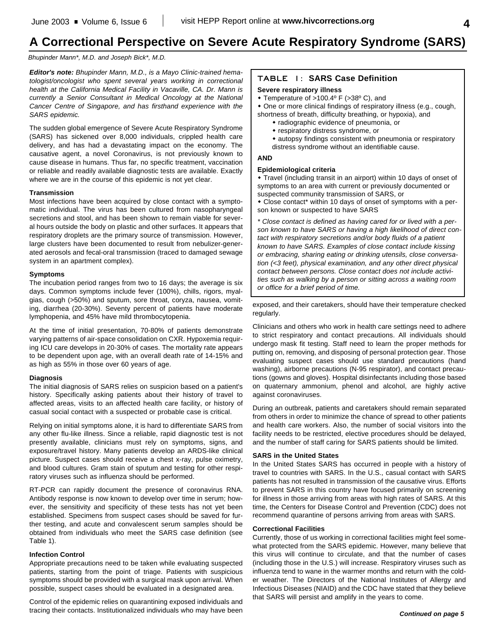# **A Correctional Perspective on Severe Acute Respiratory Syndrome (SARS)**

# *Bhupinder Mann\*, M.D. and Joseph Bick\*, M.D.*

*Editor's note: Bhupinder Mann, M.D., is a Mayo Clinic-trained hematologist/oncologist who spent several years working in correctional health at the California Medical Facility in Vacaville, CA. Dr. Mann is currently a Senior Consultant in Medical Oncology at the National Cancer Centre of Singapore, and has firsthand experience with the SARS epidemic.*

The sudden global emergence of Severe Acute Respiratory Syndrome (SARS) has sickened over 8,000 individuals, crippled health care delivery, and has had a devastating impact on the economy. The causative agent, a novel Coronavirus, is not previously known to cause disease in humans. Thus far, no specific treatment, vaccination or reliable and readily available diagnostic tests are available. Exactly where we are in the course of this epidemic is not yet clear.

# **Transmission**

Most infections have been acquired by close contact with a symptomatic individual. The virus has been cultured from nasopharyngeal secretions and stool, and has been shown to remain viable for several hours outside the body on plastic and other surfaces. It appears that respiratory droplets are the primary source of transmission. However, large clusters have been documented to result from nebulizer-generated aerosols and fecal-oral transmission (traced to damaged sewage system in an apartment complex).

# **Symptoms**

The incubation period ranges from two to 16 days; the average is six days. Common symptoms include fever (100%), chills, rigors, myalgias, cough (>50%) and sputum, sore throat, coryza, nausea, vomiting, diarrhea (20-30%). Seventy percent of patients have moderate lymphopenia, and 45% have mild thrombocytopenia.

At the time of initial presentation, 70-80% of patients demonstrate varying patterns of air-space consolidation on CXR. Hypoxemia requiring ICU care develops in 20-30% of cases. The mortality rate appears to be dependent upon age, with an overall death rate of 14-15% and as high as 55% in those over 60 years of age.

# **Diagnosis**

The initial diagnosis of SARS relies on suspicion based on a patient's history. Specifically asking patients about their history of travel to affected areas, visits to an affected health care facility, or history of casual social contact with a suspected or probable case is critical.

Relying on initial symptoms alone, it is hard to differentiate SARS from any other flu-like illness. Since a reliable, rapid diagnostic test is not presently available, clinicians must rely on symptoms, signs, and exposure/travel history. Many patients develop an ARDS-like clinical picture. Suspect cases should receive a chest x-ray, pulse oximetry, and blood cultures. Gram stain of sputum and testing for other respiratory viruses such as influenza should be performed.

RT-PCR can rapidly document the presence of coronavirus RNA. Antibody response is now known to develop over time in serum; however, the sensitivity and specificity of these tests has not yet been established. Specimens from suspect cases should be saved for further testing, and acute and convalescent serum samples should be obtained from individuals who meet the SARS case definition (see Table 1).

# **Infection Control**

Appropriate precautions need to be taken while evaluating suspected patients, starting from the point of triage. Patients with suspicious symptoms should be provided with a surgical mask upon arrival. When possible, suspect cases should be evaluated in a designated area.

Control of the epidemic relies on quarantining exposed individuals and tracing their contacts. Institutionalized individuals who may have been

# **TABLE 1: SARS Case Definition**

# **Severe respiratory illness**

w Temperature of >100.4º F (>38º C), and

• One or more clinical findings of respiratory illness (e.g., cough, shortness of breath, difficulty breathing, or hypoxia), and

- radiographic evidence of pneumonia, or
- respiratory distress syndrome, or
- \* autopsy findings consistent with pneumonia or respiratory
- distress syndrome without an identifiable cause.

# **AND**

# **Epidemiological criteria**

• Travel (including transit in an airport) within 10 days of onset of symptoms to an area with current or previously documented or suspected community transmission of SARS, or

• Close contact\* within 10 days of onset of symptoms with a person known or suspected to have SARS

*\* Close contact is defined as having cared for or lived with a person known to have SARS or having a high likelihood of direct contact with respiratory secretions and/or body fluids of a patient known to have SARS. Examples of close contact include kissing or embracing, sharing eating or drinking utensils, close conversation (<3 feet), physical examination, and any other direct physical contact between persons. Close contact does not include activities such as walking by a person or sitting across a waiting room or office for a brief period of time.*

exposed, and their caretakers, should have their temperature checked regularly.

Clinicians and others who work in health care settings need to adhere to strict respiratory and contact precautions. All individuals should undergo mask fit testing. Staff need to learn the proper methods for putting on, removing, and disposing of personal protection gear. Those evaluating suspect cases should use standard precautions (hand washing), airborne precautions (N-95 respirator), and contact precautions (gowns and gloves). Hospital disinfectants including those based on quaternary ammonium, phenol and alcohol, are highly active against coronaviruses.

During an outbreak, patients and caretakers should remain separated from others in order to minimize the chance of spread to other patients and health care workers. Also, the number of social visitors into the facility needs to be restricted, elective procedures should be delayed, and the number of staff caring for SARS patients should be limited.

# **SARS in the United States**

In the United States SARS has occurred in people with a history of travel to countries with SARS. In the U.S., casual contact with SARS patients has not resulted in transmission of the causative virus. Efforts to prevent SARS in this country have focused primarily on screening for illness in those arriving from areas with high rates of SARS. At this time, the Centers for Disease Control and Prevention (CDC) does not recommend quarantine of persons arriving from areas with SARS.

# **Correctional Facilities**

Currently, those of us working in correctional facilities might feel somewhat protected from the SARS epidemic. However, many believe that this virus will continue to circulate, and that the number of cases (including those in the U.S.) will increase. Respiratory viruses such as influenza tend to wane in the warmer months and return with the colder weather. The Directors of the National Institutes of Allergy and Infectious Diseases (NIAID) and the CDC have stated that they believe that SARS will persist and amplify in the years to come.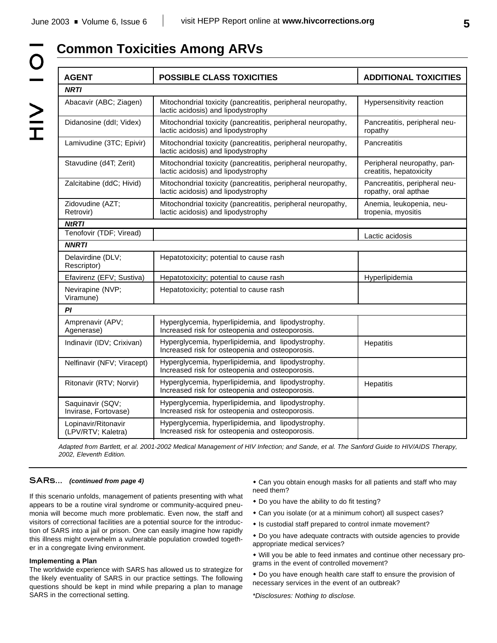# $\bigcup$  $\geq$ <br> $\frac{1}{1}$

# **Common Toxicities Among ARVs**

| <b>AGENT</b>                              | <b>POSSIBLE CLASS TOXICITIES</b>                                                                     | <b>ADDITIONAL TOXICITIES</b>                           |  |  |  |
|-------------------------------------------|------------------------------------------------------------------------------------------------------|--------------------------------------------------------|--|--|--|
| <b>NRTI</b>                               |                                                                                                      |                                                        |  |  |  |
| Abacavir (ABC; Ziagen)                    | Mitochondrial toxicity (pancreatitis, peripheral neuropathy,<br>lactic acidosis) and lipodystrophy   | Hypersensitivity reaction                              |  |  |  |
| Didanosine (ddl; Videx)                   | Mitochondrial toxicity (pancreatitis, peripheral neuropathy,<br>lactic acidosis) and lipodystrophy   | Pancreatitis, peripheral neu-<br>ropathy               |  |  |  |
| Lamivudine (3TC; Epivir)                  | Mitochondrial toxicity (pancreatitis, peripheral neuropathy,<br>lactic acidosis) and lipodystrophy   | Pancreatitis                                           |  |  |  |
| Stavudine (d4T; Zerit)                    | Mitochondrial toxicity (pancreatitis, peripheral neuropathy,<br>lactic acidosis) and lipodystrophy   | Peripheral neuropathy, pan-<br>creatitis, hepatoxicity |  |  |  |
| Zalcitabine (ddC; Hivid)                  | Mitochondrial toxicity (pancreatitis, peripheral neuropathy,<br>lactic acidosis) and lipodystrophy   | Pancreatitis, peripheral neu-<br>ropathy, oral apthae  |  |  |  |
| Zidovudine (AZT;<br>Retrovir)             | Mitochondrial toxicity (pancreatitis, peripheral neuropathy,<br>lactic acidosis) and lipodystrophy   | Anemia, leukopenia, neu-<br>tropenia, myositis         |  |  |  |
| <b>NtRTI</b>                              |                                                                                                      |                                                        |  |  |  |
| Tenofovir (TDF; Viread)                   |                                                                                                      | Lactic acidosis                                        |  |  |  |
| <b>NNRTI</b>                              |                                                                                                      |                                                        |  |  |  |
| Delavirdine (DLV;<br>Rescriptor)          | Hepatotoxicity; potential to cause rash                                                              |                                                        |  |  |  |
| Efavirenz (EFV; Sustiva)                  | Hepatotoxicity; potential to cause rash                                                              | Hyperlipidemia                                         |  |  |  |
| Nevirapine (NVP;<br>Viramune)             | Hepatotoxicity; potential to cause rash                                                              |                                                        |  |  |  |
| ΡI                                        |                                                                                                      |                                                        |  |  |  |
| Amprenavir (APV;<br>Agenerase)            | Hyperglycemia, hyperlipidemia, and lipodystrophy.<br>Increased risk for osteopenia and osteoporosis. |                                                        |  |  |  |
| Indinavir (IDV; Crixivan)                 | Hyperglycemia, hyperlipidemia, and lipodystrophy.<br>Increased risk for osteopenia and osteoporosis. | Hepatitis                                              |  |  |  |
| Nelfinavir (NFV; Viracept)                | Hyperglycemia, hyperlipidemia, and lipodystrophy.<br>Increased risk for osteopenia and osteoporosis. |                                                        |  |  |  |
| Ritonavir (RTV; Norvir)                   | Hyperglycemia, hyperlipidemia, and lipodystrophy.<br>Increased risk for osteopenia and osteoporosis. | Hepatitis                                              |  |  |  |
| Saquinavir (SQV;<br>Invirase, Fortovase)  | Hyperglycemia, hyperlipidemia, and lipodystrophy.<br>Increased risk for osteopenia and osteoporosis. |                                                        |  |  |  |
| Lopinavir/Ritonavir<br>(LPV/RTV; Kaletra) | Hyperglycemia, hyperlipidemia, and lipodystrophy.<br>Increased risk for osteopenia and osteoporosis. |                                                        |  |  |  |

*Adapted from Bartlett, et al. 2001-2002 Medical Management of HIV Infection; and Sande, et al. The Sanford Guide to HIV/AIDS Therapy, 2002, Eleventh Edition.*

# **SARs...** *(continued from page 4)*

If this scenario unfolds, management of patients presenting with what appears to be a routine viral syndrome or community-acquired pneumonia will become much more problematic. Even now, the staff and visitors of correctional facilities are a potential source for the introduction of SARS into a jail or prison. One can easily imagine how rapidly this illness might overwhelm a vulnerable population crowded together in a congregate living environment.

# **Implementing a Plan**

The worldwide experience with SARS has allowed us to strategize for the likely eventuality of SARS in our practice settings. The following questions should be kept in mind while preparing a plan to manage SARS in the correctional setting.

- Can you obtain enough masks for all patients and staff who may need them?
- Do you have the ability to do fit testing?
- Can you isolate (or at a minimum cohort) all suspect cases?
- Is custodial staff prepared to control inmate movement?
- $\bullet$  Do you have adequate contracts with outside agencies to provide appropriate medical services?
- Will you be able to feed inmates and continue other necessary programs in the event of controlled movement?
- \* Do you have enough health care staff to ensure the provision of necessary services in the event of an outbreak?

*\*Disclosures: Nothing to disclose.*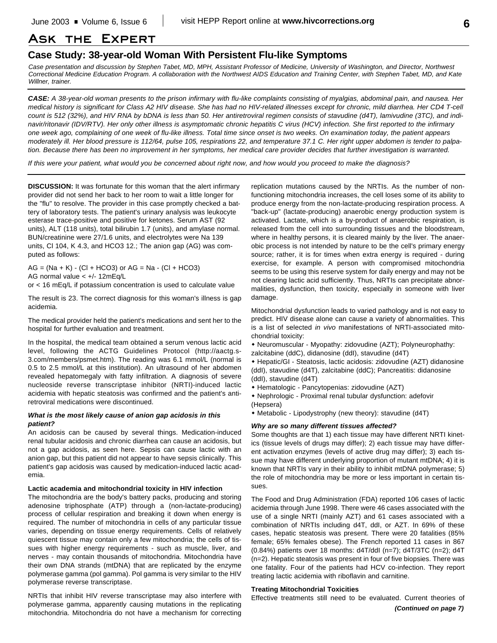# **Ask the Expert**

# **Case Study: 38-year-old Woman With Persistent Flu-like Symptoms**

*Case presentation and discussion by Stephen Tabet, MD, MPH, Assistant Professor of Medicine, University of Washington, and Director, Northwest Correctional Medicine Education Program. A collaboration with the Northwest AIDS Education and Training Center, with Stephen Tabet, MD, and Kate Willner, trainer.*

*CASE: A 38-year-old woman presents to the prison infirmary with flu-like complaints consisting of myalgias, abdominal pain, and nausea. Her medical history is significant for Class A2 HIV disease. She has had no HIV-related illnesses except for chronic, mild diarrhea. Her CD4 T-cell count is 512 (32%), and HIV RNA by bDNA is less than 50. Her antiretroviral regimen consists of stavudine (d4T), lamivudine (3TC), and indinavir/ritonavir (IDV/RTV). Her only other illness is asymptomatic chronic hepatitis C virus (HCV) infection. She first reported to the infirmary one week ago, complaining of one week of flu-like illness. Total time since onset is two weeks. On examination today, the patient appears moderately ill. Her blood pressure is 112/64, pulse 105, respirations 22, and temperature 37.1 C. Her right upper abdomen is tender to palpation. Because there has been no improvement in her symptoms, her medical care provider decides that further investigation is warranted.*

*If this were your patient, what would you be concerned about right now, and how would you proceed to make the diagnosis?*

**DISCUSSION:** It was fortunate for this woman that the alert infirmary provider did not send her back to her room to wait a little longer for the "flu" to resolve. The provider in this case promptly checked a battery of laboratory tests. The patient's urinary analysis was leukocyte esterase trace-positive and positive for ketones. Serum AST (92 units), ALT (118 units), total bilirubin 1.7 (units), and amylase normal. BUN/creatinine were 27/1.6 units, and electrolytes were Na 139 units, Cl 104, K 4.3, and HCO3 12.; The anion gap (AG) was computed as follows:

 $AG = (Na + K) - (Cl + HCO3)$  or  $AG = Na - (Cl + HCO3)$ AG normal value < +/- 12mEq/L

or < 16 mEq/L if potassium concentration is used to calculate value

The result is 23. The correct diagnosis for this woman's illness is gap acidemia.

The medical provider held the patient's medications and sent her to the hospital for further evaluation and treatment.

In the hospital, the medical team obtained a serum venous lactic acid level, following the ACTG Guidelines Protocol (http://aactg.s-3.com/members/psmet.htm). The reading was 6.1 mmol/L (normal is 0.5 to 2.5 mmol/L at this institution). An ultrasound of her abdomen revealed hepatomegaly with fatty infiltration. A diagnosis of severe nucleoside reverse transcriptase inhibitor (NRTI)-induced lactic acidemia with hepatic steatosis was confirmed and the patient's antiretroviral medications were discontinued.

# *What is the most likely cause of anion gap acidosis in this patient?*

An acidosis can be caused by several things. Medication-induced renal tubular acidosis and chronic diarrhea can cause an acidosis, but not a gap acidosis, as seen here. Sepsis can cause lactic with an anion gap, but this patient did not appear to have sepsis clinically. This patient's gap acidosis was caused by medication-induced lactic academia.

#### **Lactic academia and mitochondrial toxicity in HIV infection**

The mitochondria are the body's battery packs, producing and storing adenosine triphosphate (ATP) through a (non-lactate-producing) process of cellular respiration and breaking it down when energy is required. The number of mitochondria in cells of any particular tissue varies, depending on tissue energy requirements. Cells of relatively quiescent tissue may contain only a few mitochondria; the cells of tissues with higher energy requirements - such as muscle, liver, and nerves - may contain thousands of mitochondria. Mitochondria have their own DNA strands (mtDNA) that are replicated by the enzyme polymerase gamma (pol gamma). Pol gamma is very similar to the HIV polymerase reverse transcriptase.

NRTIs that inhibit HIV reverse transcriptase may also interfere with polymerase gamma, apparently causing mutations in the replicating mitochondria. Mitochondria do not have a mechanism for correcting

replication mutations caused by the NRTIs. As the number of nonfunctioning mitochondria increases, the cell loses some of its ability to produce energy from the non-lactate-producing respiration process. A "back-up" (lactate-producing) anaerobic energy production system is activated. Lactate, which is a by-product of anaerobic respiration, is released from the cell into surrounding tissues and the bloodstream, where in healthy persons, it is cleared mainly by the liver. The anaerobic process is not intended by nature to be the cell's primary energy source; rather, it is for times when extra energy is required - during exercise, for example. A person with compromised mitochondria seems to be using this reserve system for daily energy and may not be not clearing lactic acid sufficiently. Thus, NRTIs can precipitate abnormalities, dysfunction, then toxicity, especially in someone with liver damage.

Mitochondrial dysfunction leads to varied pathology and is not easy to predict. HIV disease alone can cause a variety of abnormalities. This is a list of selected *in vivo* manifestations of NRTI-associated mitochondrial toxicity:

- w Neuromuscular Myopathy: zidovudine (AZT); Polyneurophathy: zalcitabine (ddC), didanosine (ddI), stavudine (d4T)
- w Hepatic/GI Steatosis, lactic acidosis: zidovudine (AZT) didanosine (ddI), stavudine (d4T), zalcitabine (ddC); Pancreatitis: didanosine (ddI), stavudine (d4T)
- w Hematologic Pancytopenias: zidovudine (AZT)
- Nephrologic Proximal renal tubular dysfunction: adefovir (Hepsera)
- Metabolic Lipodystrophy (new theory): stavudine (d4T)

#### *Why are so many different tissues affected?*

Some thoughts are that 1) each tissue may have different NRTI kinetics (tissue levels of drugs may differ); 2) each tissue may have different activation enzymes (levels of active drug may differ); 3) each tissue may have different underlying proportion of mutant mtDNA; 4) it is known that NRTIs vary in their ability to inhibit mtDNA polymerase; 5) the role of mitochondria may be more or less important in certain tissues.

The Food and Drug Administration (FDA) reported 106 cases of lactic acidemia through June 1998. There were 46 cases associated with the use of a single NRTI (mainly AZT) and 61 cases associated with a combination of NRTIs including d4T, ddI, or AZT. In 69% of these cases, hepatic steatosis was present. There were 20 fatalities (85% female; 65% females obese). The French reported 11 cases in 867 (0.84%) patients over 18 months: d4T/ddI (n=7); d4T/3TC (n=2); d4T (n=2). Hepatic steatosis was present in four of five biopsies. There was one fatality. Four of the patients had HCV co-infection. They report treating lactic acidemia with riboflavin and carnitine.

# **Treating Mitochondrial Toxicities**

Effective treatments still need to be evaluated. Current theories of *(Continued on page 7)*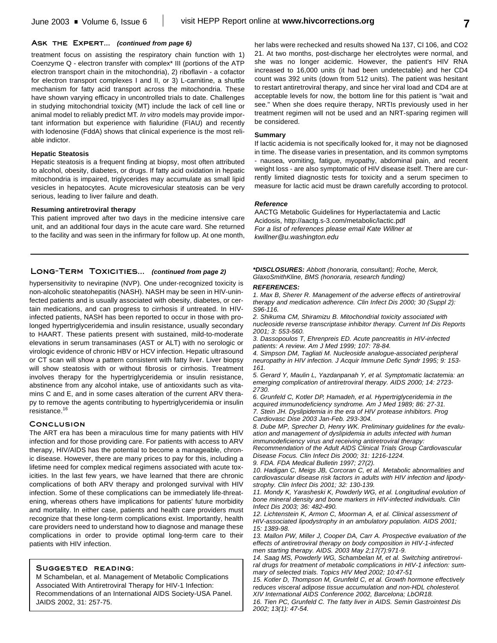# **Ask the Expert...** *(continued from page 6)*

treatment focus on assisting the respiratory chain function with 1) Coenzyme Q - electron transfer with complex\* III (portions of the ATP electron transport chain in the mitochondria), 2) riboflavin - a cofactor for electron transport complexes I and II, or 3) L-carnitine, a shuttle mechanism for fatty acid transport across the mitochondria. These have shown varying efficacy in uncontrolled trials to date. Challenges in studying mitochondrial toxicity (MT) include the lack of cell line or animal model to reliably predict MT. *In vitro* models may provide important information but experience with fialuridine (FIAU) and recently with lodenosine (FddA) shows that clinical experience is the most reliable indictor.

#### **Hepatic Steatosis**

Hepatic steatosis is a frequent finding at biopsy, most often attributed to alcohol, obesity, diabetes, or drugs. If fatty acid oxidation in hepatic mitochondria is impaired, triglycerides may accumulate as small lipid vesicles in hepatocytes. Acute microvesicular steatosis can be very serious, leading to liver failure and death.

#### **Resuming antiretroviral therapy**

This patient improved after two days in the medicine intensive care unit, and an additional four days in the acute care ward. She returned to the facility and was seen in the infirmary for follow up. At one month, her labs were rechecked and results showed Na 137, Cl 106, and CO2 21. At two months, post-discharge her electrolytes were normal, and she was no longer acidemic. However, the patient's HIV RNA increased to 16,000 units (it had been undetectable) and her CD4 count was 392 units (down from 512 units). The patient was hesitant to restart antiretroviral therapy, and since her viral load and CD4 are at acceptable levels for now, the bottom line for this patient is "wait and see." When she does require therapy, NRTIs previously used in her treatment regimen will not be used and an NRT-sparing regimen will be considered.

## **Summary**

If lactic acidemia is not specifically looked for, it may not be diagnosed in time. The disease varies in presentation, and its common symptoms - nausea, vomiting, fatigue, myopathy, abdominal pain, and recent weight loss - are also symptomatic of HIV disease itself. There are currently limited diagnostic tests for toxicity and a serum specimen to measure for lactic acid must be drawn carefully according to protocol.

# *Reference*

AACTG Metabolic Guidelines for Hyperlactatemia and Lactic Acidosis, http://aactg.s-3.com/metabolic/lactic.pdf *For a list of references please email Kate Willner at kwillner@u.washington.edu*

# **Long-Term Toxicities...** *(continued from page 2)*

hypersensitivity to nevirapine (NVP). One under-recognized toxicity is non-alcoholic steatohepatitis (NASH). NASH may be seen in HIV-uninfected patients and is usually associated with obesity, diabetes, or certain medications, and can progress to cirrhosis if untreated. In HIVinfected patients, NASH has been reported to occur in those with prolonged hypertriglyceridemia and insulin resistance, usually secondary to HAART. These patients present with sustained, mild-to-moderate elevations in serum transaminases (AST or ALT) with no serologic or virologic evidence of chronic HBV or HCV infection. Hepatic ultrasound or CT scan will show a pattern consistent with fatty liver. Liver biopsy will show steatosis with or without fibrosis or cirrhosis. Treatment involves therapy for the hypertriglyceridemia or insulin resistance, abstinence from any alcohol intake, use of antioxidants such as vitamins C and E, and in some cases alteration of the current ARV therapy to remove the agents contributing to hypertriglyceridemia or insulin resistance. 16

# **Conclusion**

The ART era has been a miraculous time for many patients with HIV infection and for those providing care. For patients with access to ARV therapy, HIV/AIDS has the potential to become a manageable, chronic disease. However, there are many prices to pay for this, including a lifetime need for complex medical regimens associated with acute toxicities. In the last few years, we have learned that there are chronic complications of both ARV therapy and prolonged survival with HIV infection. Some of these complications can be immediately life-threatening, whereas others have implications for patients' future morbidity and mortality. In either case, patients and health care providers must recognize that these long-term complications exist. Importantly, health care providers need to understand how to diagnose and manage these complications in order to provide optimal long-term care to their patients with HIV infection.

# **Suggested reading:**

M Schambelan, et al. Management of Metabolic Complications Associated With Antiretroviral Therapy for HIV-1 Infection: Recommendations of an International AIDS Society-USA Panel. JAIDS 2002, 31: 257-75.

*\*DISCLOSURES: Abbott (honoraria, consultant); Roche, Merck, GlaxoSmithKline, BMS (honoraria, research funding)*

#### *REFERENCES:*

*1. Max B, Sherer R. Management of the adverse effects of antiretroviral therapy and medication adherence. Clin Infect Dis 2000; 30 (Suppl 2): S96-116.*

*2. Shikuma CM, Shiramizu B. Mitochondrial toxicity associated with nucleoside reverse transcriptase inhibitor therapy. Current Inf Dis Reports 2001; 3: 553-560.*

*3. Dassopoulos T, Ehrenpreis ED. Acute pancreatitis in HIV-infected patients: A review. Am J Med 1999; 107: 78-84.*

*4. Simpson DM, Tagliati M. Nucleoside analogue-associated peripheral neuropathy in HIV infection. J Acquir Immune Defic Syndr 1995; 9: 153- 161.*

*5. Gerard Y, Maulin L, Yazdanpanah Y, et al. Symptomatic lactatemia: an emerging complication of antiretroviral therapy. AIDS 2000; 14: 2723- 2730.*

*6. Grunfeld C, Kotler DP, Hamadeh, et al. Hypertriglyceridemia in the acquired immunodeficiency syndrome. Am J Med 1989; 86: 27-31. 7. Stein JH. Dyslipidemia in the era of HIV protease inhibitors. Prog Cardiovasc Dise 2003 Jan-Feb. 293-304.*

*8. Dube MP, Sprecher D, Henry WK. Preliminary guidelines for the evaluation and management of dyslipidemia in adults infected with human immunodeficiency virus and receiving antiretroviral therapy:*

*Recommendation of the Adult AIDS Clinical Trials Group Cardiovascular Disease Focus. Clin Infect Dis 2000; 31: 1216-1224.*

*9. FDA. FDA Medical Bulletin 1997; 27(2).*

*10. Hadigan C, Meigs JB, Corcoran C, et al. Metabolic abnormalities and cardiovascular disease risk factors in adults with HIV infection and lipodystrophy. Clin Infect Dis 2001; 32: 130-139.*

*11. Mondy K, Yarasheski K, Powderly WG, et al. Longitudinal evolution of bone mineral density and bone markers in HIV-infected individuals. Clin Infect Dis 2003; 36: 482-490.*

*12. Lichtenstein K, Armon C, Moorman A, et al. Clinical assessment of HIV-associated lipodystrophy in an ambulatory population. AIDS 2001; 15: 1389-98.*

*13. Mallon PW, Miller J, Cooper DA, Carr A. Prospective evaluation of the effects of antiretroviral therapy on body composition in HIV-1-infected men starting therapy. AIDS. 2003 May 2;17(7):971-9.*

*14. Saag MS, Powderly WG, Schambelan M, et al. Switching antiretroviral drugs for treatment of metabolic complications in HIV-1 infection: summary of selected trials. Topics HIV Med 2002; 10:47-51*

*15. Kotler D, Thompson M, Grunfeld C, et al. Growth hormone effectively reduces visceral adipose tissue accumulation and non-HDL cholesterol. XIV International AIDS Conference 2002, Barcelona; LbOR18.*

*16. Tien PC, Grunfeld C. The fatty liver in AIDS. Semin Gastrointest Dis 2002; 13(1): 47-54.*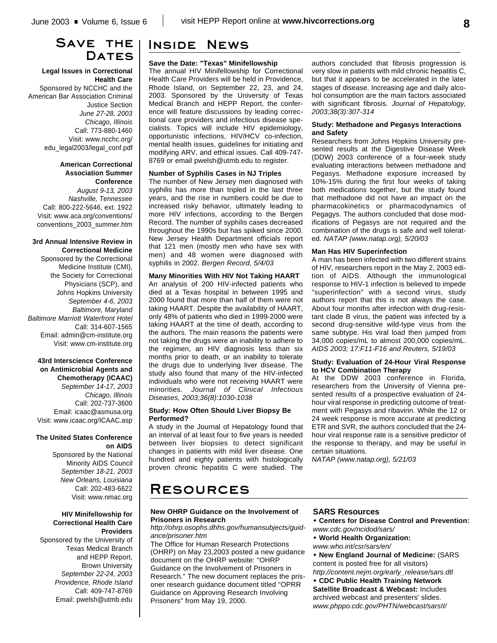# **Save the** DATES

# **Legal Issues in Correctional Health Care**

Sponsored by NCCHC and the American Bar Association Criminal Justice Section *June 27-28, 2003 Chicago, Illinois* Call: 773-880-1460 Visit: www.ncchc.org/ edu\_legal2003/legal\_conf.pdf

> **American Correctional Association Summer Conference**

*August 9-13, 2003 Nashville, Tennessee* Call: 800-222-5646, ext. 1922 Visit: www.aca.org/conventions/ conventions\_2003\_summer.htm

## **3rd Annual Intensive Review in Correctional Medicine**

Sponsored by the Correctional Medicine Institute (CMI), the Society for Correctional Physicians (SCP), and Johns Hopkins University *September 4-6, 2003 Baltimore, Maryland Baltimore Marriott Waterfront Hotel* Call: 314-607-1565 Email: admin@cm-institute.org Visit: www.cm-institute.org

# **43rd Interscience Conference on Antimicrobial Agents and Chemotherapy (ICAAC)**

*September 14-17, 2003 Chicago, Illinois* Call: 202-737-3600 Email: icaac@asmusa.org Visit: www.icaac.org/ICAAC.asp

# **The United States Conference on AIDS**

Sponsored by the National Minority AIDS Council *September 18-21, 2003 New Orleans, Louisiana* Call: 202-483-6622 Visit: www.nmac.org

# **HIV Minifellowship for Correctional Health Care Providers**

Sponsored by the University of Texas Medical Branch and HEPP Report, Brown University *September 22-24, 2003 Providence, Rhode Island* Call: 409-747-8769 Email: pwelsh@utmb.edu

# **Inside News**

# **Save the Date: "Texas" Minifellowship**

The annual HIV Minifellowship for Correctional Health Care Providers will be held in Providence, Rhode Island, on September 22, 23, and 24, 2003. Sponsored by the University of Texas Medical Branch and HEPP Report, the conference will feature discussions by leading correctional care providers and infectious disease specialists. Topics will include HIV epidemiology, opportunistic infections, HIV/HCV co-infection, mental health issues, guidelines for initiating and modifying ARV, and ethical issues. Call 409-747- 8769 or email pwelsh@utmb.edu to register.

# **Number of Syphilis Cases in NJ Triples**

The number of New Jersey men diagnosed with syphilis has more than tripled in the last three years, and the rise in numbers could be due to increased risky behavior, ultimately leading to more HIV infections, according to the Bergen Record. The number of syphilis cases decreased throughout the 1990s but has spiked since 2000. New Jersey Health Department officials report that 121 men (mostly men who have sex with men) and 48 women were diagnosed with syphilis in 2002. *Bergen Record, 5/4/03*

# **Many Minorities With HIV Not Taking HAART**

An analysis of 200 HIV-infected patients who died at a Texas hospital in between 1995 and 2000 found that more than half of them were not taking HAART. Despite the availability of HAART, only 48% of patients who died in 1999-2000 were taking HAART at the time of death, according to the authors. The main reasons the patients were not taking the drugs were an inability to adhere to the regimen, an HIV diagnosis less than six months prior to death, or an inability to tolerate the drugs due to underlying liver disease. The study also found that many of the HIV-infected individuals who were not receiving HAART were minorities. *Journal of Clinical Infectious Diseases, 2003;36(8):1030-1038*

# **Study: How Often Should Liver Biopsy Be Performed?**

A study in the Journal of Hepatology found that an interval of at least four to five years is needed between liver biopsies to detect significant changes in patients with mild liver disease. One hundred and eighty patients with histologically proven chronic hepatitis C were studied. The

authors concluded that fibrosis progression is very slow in patients with mild chronic hepatitis C, but that it appears to be accelerated in the later stages of disease. Increasing age and daily alcohol consumption are the main factors associated with significant fibrosis. *Journal of Hepatology, 2003;38(3):307-314*

# **Study: Methadone and Pegasys Interactions and Safety**

Researchers from Johns Hopkins University presented results at the Digestive Disease Week (DDW) 2003 conference of a four-week study evaluating interactions between methadone and Pegasys. Methadone exposure increased by 10%-15% during the first four weeks of taking both medications together, but the study found that methadone did not have an impact on the pharmacokinetics or pharmacodynamics of Pegagys. The authors concluded that dose modifications of Pegasys are not required and the combination of the drugs is safe and well tolerated. *NATAP (www.natap.org), 5/20/03*

# **Man Has HIV Superinfection**

A man has been infected with two different strains of HIV, researchers report in the May 2, 2003 edition of AIDS. Although the immunological response to HIV-1 infection is believed to impede "superinfection" with a second virus, study authors report that this is not always the case. About four months after infection with drug-resistant clade B virus, the patient was infected by a second drug-sensitive wild-type virus from the same subtype. His viral load then jumped from 34,000 copies/mL to almost 200,000 copies/mL. *AIDS 2003; 17:F11-F16 and Reuters, 5/19/03*

# **Study: Evaluation of 24-Hour Viral Response to HCV Combination Therapy**

At the DDW 2003 conference in Florida, researchers from the University of Vienna presented results of a prospective evaluation of 24 hour viral response in predicting outcome of treatment with Pegasys and ribavirin. While the 12 or 24 week response is more accurate at predicting ETR and SVR, the authors concluded that the 24 hour viral response rate is a sensitive predictor of the response to therapy, and may be useful in certain situations.

*NATAP (www.natap.org), 5/21/03*

# **Resources**

# **New OHRP Guidance on the Involvement of Prisoners in Research**

*http://ohrp.osophs.dhhs.gov/humansubjects/guidance/prisoner.htm*

The Office for Human Research Protections (OHRP) on May 23,2003 posted a new guidance document on the OHRP website: "OHRP Guidance on the Involvement of Prisoners in Research." The new document replaces the prisoner research guidance document titled "OPRR Guidance on Approving Research Involving Prisoners" from May 19, 2000.

# **SARS Resources**

**\* Centers for Disease Control and Prevention:** *www.cdc.gov/ncidod/sars/*

- w **World Health Organization:**
- *www.who.int/csr/sars/en/*

 $\cdot$  New England Journal of Medicine: (SARS content is posted free for all visitors) *http://content.nejm.org/early\_release/sars.dtl*

**\* CDC Public Health Training Network Satellite Broadcast & Webcast:** Includes archived webcast and presenters' slides. *www.phppo.cdc.gov/PHTN/webcast/sarsII/*